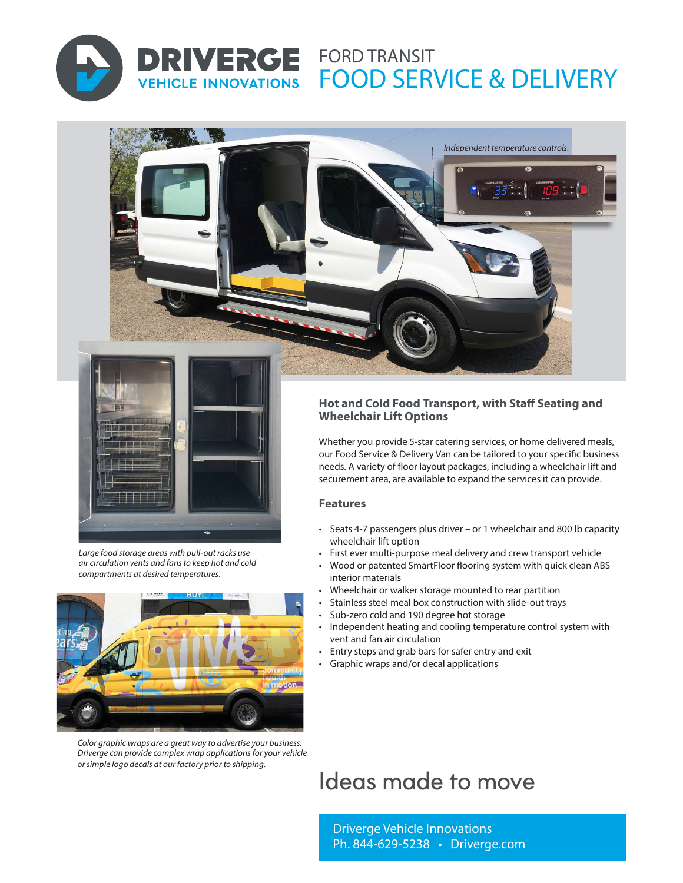

# **DRIVERGE FORD TRANSIT** FOOD SERVICE & DELIVERY **VEHICLE INNOVATIONS**

*Independent temperature controls.*



*Large food storage areas with pull-out racks use air circulation vents and fans to keep hot and cold compartments at desired temperatures.* 



*Color graphic wraps are a great way to advertise your business. Driverge can provide complex wrap applications for your vehicle or simple logo decals at our factory prior to shipping.* 

### **Hot and Cold Food Transport, with Staff Seating and Wheelchair Lift Options**

Whether you provide 5-star catering services, or home delivered meals, our Food Service & Delivery Van can be tailored to your specific business needs. A variety of floor layout packages, including a wheelchair lift and securement area, are available to expand the services it can provide.

#### **Features**

- Seats 4-7 passengers plus driver or 1 wheelchair and 800 lb capacity wheelchair lift option
- First ever multi-purpose meal delivery and crew transport vehicle
- Wood or patented SmartFloor flooring system with quick clean ABS interior materials
- Wheelchair or walker storage mounted to rear partition
- Stainless steel meal box construction with slide-out trays
- Sub-zero cold and 190 degree hot storage
- Independent heating and cooling temperature control system with vent and fan air circulation
- Entry steps and grab bars for safer entry and exit
- Graphic wraps and/or decal applications

# Ideas made to move

Driverge Vehicle Innovations Ph. 844-629-5238 • Driverge.com